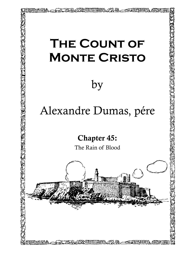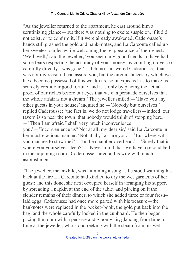"As the jeweller returned to the apartment, he cast around him a scrutinizing glance—but there was nothing to excite suspicion, if it did not exist, or to confirm it, if it were already awakened. Caderousse's hands still grasped the gold and bank–notes, and La Carconte called up her sweetest smiles while welcoming the reappearance of their guest. 'Well, well,' said the jeweller, 'you seem, my good friends, to have had some fears respecting the accuracy of your money, by counting it over so carefully directly I was gone.'—'Oh, no,' answered Caderousse, 'that was not my reason, I can assure you; but the circumstances by which we have become possessed of this wealth are so unexpected, as to make us scarcely credit our good fortune, and it is only by placing the actual proof of our riches before our eyes that we can persuade ourselves that the whole affair is not a dream.' The jeweller smiled.—'Have you any other guests in your house?' inquired he.—'Nobody but ourselves,' replied Caderousse; 'the fact is, we do not lodge travellers—indeed, our tavern is so near the town, that nobody would think of stopping here. —'Then I am afraid I shall very much inconvenience you.'—'Inconvenience us? Not at all, my dear sir,' said La Carconte in her most gracious manner. 'Not at all, I assure you.'—'But where will you manage to stow me?'—'In the chamber overhead.'—'Surely that is where you yourselves sleep?'—'Never mind that; we have a second bed in the adjoining room.' Caderousse stared at his wife with much astonishment.

"The jeweller, meanwhile, was humming a song as he stood warming his back at the fire La Carconte had kindled to dry the wet garments of her guest; and this done, she next occupied herself in arranging his supper, by spreading a napkin at the end of the table, and placing on it the slender remains of their dinner, to which she added three or four fresh– laid eggs. Caderousse had once more parted with his treasure—the banknotes were replaced in the pocket–book, the gold put back into the bag, and the whole carefully locked in the cupboard. He then began pacing the room with a pensive and gloomy air, glancing from time to time at the jeweller, who stood reeking with the steam from his wet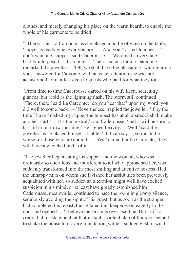clothes, and merely changing his place on the warm hearth, to enable the whole of his garments to be dried.

"'There,' said La Carconte, as she placed a bottle of wine on the table, 'supper is ready whenever you are.'—'And you?' asked Joannes.—'I don't want any supper,' said Caderousse.—'We dined so very late,' hastily interposed La Carconte.— 'Then it seems I am to eat alone,' remarked the jeweller.—'Oh, we shall have the pleasure of waiting upon you,' answered La Carconte, with an eager attention she was not accustomed to manifest even to guests who paid for what they took.

"From time to time Caderousse darted on his wife keen, searching glances, but rapid as the lightning flash. The storm still continued. 'There, there,' said La Carconte; 'do you hear that? upon my word, you did well to come back.'—'Nevertheless,' replied the jeweller, 'if by the time I have finished my supper the tempest has at all abated, I shall make another start.'—'It's the mistral,' said Caderousse, 'and it will be sure to last till to–morrow morning.' He sighed heavily.—'Well,' said the jeweller, as he placed himself at table, 'all I can say is, so much the worse for those who are abroad.'—'Yes,' chimed in La Carconte, 'they will have a wretched night of it.'

"The jeweller began eating his supper, and the woman, who was ordinarily so querulous and indifferent to all who approached her, was suddenly transformed into the most smiling and attentive hostess. Had the unhappy man on whom she lavished her assiduities been previously acquainted with her, so sudden an alteration might well have excited suspicion in his mind, or at least have greatly astonished him. Caderousse, meanwhile, continued to pace the room in gloomy silence, sedulously avoiding the sight of his guest; but as soon as the stranger had completed his repast, the agitated inn–keeper went eagerly to the door and opened it. 'I believe the storm is over,' said he. But as if to contradict his statement, at that instant a violent clap of thunder seemed to shake the house to its very foundation, while a sudden gust of wind,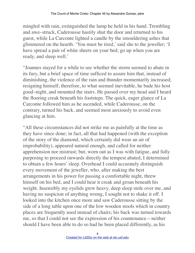mingled with rain, extinguished the lamp he held in his hand. Trembling and awe–struck, Caderousse hastily shut the door and returned to his guest, while La Carconte lighted a candle by the smouldering ashes that glimmered on the hearth. 'You must be tired,' said she to the jeweller; 'I have spread a pair of white sheets on your bed; go up when you are ready, and sleep well.'

"Joannes stayed for a while to see whether the storm seemed to abate in its fury, but a brief space of time sufficed to assure him that, instead of diminishing, the violence of the rain and thunder momentarily increased; resigning himself, therefore, to what seemed inevitable, he bade his host good–night, and mounted the stairs. He passed over my head and I heard the flooring creak beneath his footsteps. The quick, eager glance of La Carconte followed him as he ascended, while Caderousse, on the contrary, turned his back, and seemed most anxiously to avoid even glancing at him.

"All these circumstances did not strike me as painfully at the time as they have since done; in fact, all that had happened (with the exception of the story of the diamond, which certainly did wear an air of improbability), appeared natural enough, and called for neither apprehension nor mistrust; but, worn out as I was with fatigue, and fully purposing to proceed onwards directly the tempest abated, I determined to obtain a few hours' sleep. Overhead I could accurately distinguish every movement of the jeweller, who, after making the best arrangements in his power for passing a comfortable night, threw himself on his bed, and I could hear it creak and groan beneath his weight. Insensibly my eyelids grew heavy, deep sleep stole over me, and having no suspicion of anything wrong, I sought not to shake it off. I looked into the kitchen once more and saw Caderousse sitting by the side of a long table upon one of the low wooden stools which in country places are frequently used instead of chairs; his back was turned towards me, so that I could not see the expression of his countenance—neither should I have been able to do so had he been placed differently, as his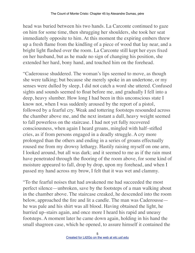head was buried between his two hands. La Carconte continued to gaze on him for some time, then shrugging her shoulders, she took her seat immediately opposite to him. At this moment the expiring embers threw up a fresh flame from the kindling of a piece of wood that lay near, and a bright light flashed over the room. La Carconte still kept her eyes fixed on her husband, but as he made no sign of changing his position, she extended her hard, bony hand, and touched him on the forehead.

"Caderousse shuddered. The woman's lips seemed to move, as though she were talking; but because she merely spoke in an undertone, or my senses were dulled by sleep, I did not catch a word she uttered. Confused sights and sounds seemed to float before me, and gradually I fell into a deep, heavy slumber. How long I had been in this unconscious state I know not, when I was suddenly aroused by the report of a pistol, followed by a fearful cry. Weak and tottering footsteps resounded across the chamber above me, and the next instant a dull, heavy weight seemed to fall powerless on the staircase. I had not yet fully recovered consciousness, when again I heard groans, mingled with half–stifled cries, as if from persons engaged in a deadly struggle. A cry more prolonged than the others and ending in a series of groans effectually roused me from my drowsy lethargy. Hastily raising myself on one arm, I looked around, but all was dark; and it seemed to me as if the rain must have penetrated through the flooring of the room above, for some kind of moisture appeared to fall, drop by drop, upon my forehead, and when I passed my hand across my brow, I felt that it was wet and clammy.

"To the fearful noises that had awakened me had succeeded the most perfect silence—unbroken, save by the footsteps of a man walking about in the chamber above. The staircase creaked, he descended into the room below, approached the fire and lit a candle. The man was Caderousse he was pale and his shirt was all blood. Having obtained the light, he hurried up–stairs again, and once more I heard his rapid and uneasy footsteps. A moment later he came down again, holding in his hand the small shagreen case, which he opened, to assure himself it contained the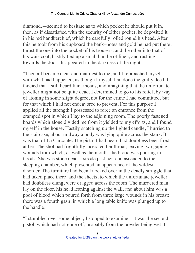diamond,—seemed to hesitate as to which pocket he should put it in, then, as if dissatisfied with the security of either pocket, he deposited it in his red handkerchief, which he carefully rolled round his head. After this he took from his cupboard the bank–notes and gold he had put there, thrust the one into the pocket of his trousers, and the other into that of his waistcoat, hastily tied up a small bundle of linen, and rushing towards the door, disappeared in the darkness of the night.

"Then all became clear and manifest to me, and I reproached myself with what had happened, as though I myself had done the guilty deed. I fancied that I still heard faint moans, and imagining that the unfortunate jeweller might not be quite dead, I determined to go to his relief, by way of atoning in some slight degree, not for the crime I had committed, but for that which I had not endeavored to prevent. For this purpose I applied all the strength I possessed to force an entrance from the cramped spot in which I lay to the adjoining room. The poorly fastened boards which alone divided me from it yielded to my efforts, and I found myself in the house. Hastily snatching up the lighted candle, I hurried to the staircase; about midway a body was lying quite across the stairs. It was that of La Carconte. The pistol I had heard had doubtless been fired at her. The shot had frightfully lacerated her throat, leaving two gaping wounds from which, as well as the mouth, the blood was pouring in floods. She was stone dead. I strode past her, and ascended to the sleeping chamber, which presented an appearance of the wildest disorder. The furniture had been knocked over in the deadly struggle that had taken place there, and the sheets, to which the unfortunate jeweller had doubtless clung, were dragged across the room. The murdered man lay on the floor, his head leaning against the wall, and about him was a pool of blood which poured forth from three large wounds in his breast; there was a fourth gash, in which a long table knife was plunged up to the handle.

"I stumbled over some object; I stooped to examine—it was the second pistol, which had not gone off, probably from the powder being wet. I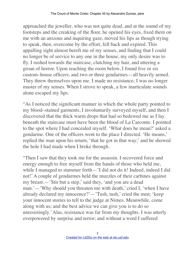approached the jeweller, who was not quite dead, and at the sound of my footsteps and the creaking of the floor, he opened his eyes, fixed them on me with an anxious and inquiring gaze, moved his lips as though trying to speak, then, overcome by the effort, fell back and expired. This appalling sight almost bereft me of my senses, and finding that I could no longer be of service to any one in the house, my only desire was to fly. I rushed towards the staircase, clutching my hair, and uttering a groan of horror. Upon reaching the room below, I found five or six custom–house officers, and two or three gendarmes—all heavily armed. They threw themselves upon me. I made no resistance; I was no longer master of my senses. When I strove to speak, a few inarticulate sounds alone escaped my lips.

"As I noticed the significant manner in which the whole party pointed to my blood–stained garments, I involuntarily surveyed myself, and then I discovered that the thick warm drops that had so bedewed me as I lay beneath the staircase must have been the blood of La Carconte. I pointed to the spot where I had concealed myself. 'What does he mean?' asked a gendarme. One of the officers went to the place I directed. 'He means,' replied the man upon his return, 'that he got in that way;' and he showed the hole I had made when I broke through.

"Then I saw that they took me for the assassin. I recovered force and energy enough to free myself from the hands of those who held me, while I managed to stammer forth—'I did not do it! Indeed, indeed I did not!' A couple of gendarmes held the muzzles of their carbines against my breast.—'Stir but a step,' said they, 'and you are a dead man.'—'Why should you threaten me with death,' cried I, 'when I have already declared my innocence?'—'Tush, tush,' cried the men; 'keep your innocent stories to tell to the judge at Nimes. Meanwhile, come along with us; and the best advice we can give you is to do so unresistingly.' Alas, resistance was far from my thoughts. I was utterly overpowered by surprise and terror; and without a word I suffered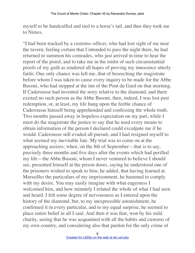myself to be handcuffed and tied to a horse's tail, and thus they took me to Nimes.

"I had been tracked by a customs–officer, who had lost sight of me near the tavern; feeling certain that I intended to pass the night there, he had returned to summon his comrades, who just arrived in time to hear the report of the pistol, and to take me in the midst of such circumstantial proofs of my guilt as rendered all hopes of proving my innocence utterly futile. One only chance was left me, that of beseeching the magistrate before whom I was taken to cause every inquiry to be made for the Abbe Busoni, who had stopped at the inn of the Pont du Gard on that morning. If Caderousse had invented the story relative to the diamond, and there existed no such person as the Abbe Busoni, then, indeed, I was lost past redemption, or, at least, my life hung upon the feeble chance of Caderousse himself being apprehended and confessing the whole truth. Two months passed away in hopeless expectation on my part, while I must do the magistrate the justice to say that he used every means to obtain information of the person I declared could exculpate me if he would. Caderousse still evaded all pursuit, and I had resigned myself to what seemed my inevitable fate. My trial was to come on at the approaching assizes; when, on the 8th of September—that is to say, precisely three months and five days after the events which had perilled my life—the Abbe Busoni, whom I never ventured to believe I should see, presented himself at the prison doors, saying he understood one of the prisoners wished to speak to him; he added, that having learned at Marseilles the particulars of my imprisonment, he hastened to comply with my desire. You may easily imagine with what eagerness I welcomed him, and how minutely I related the whole of what I had seen and heard. I felt some degree of nervousness as I entered upon the history of the diamond, but, to my inexpressible astonishment, he confirmed it in every particular, and to my equal surprise, he seemed to place entire belief in all I said. And then it was that, won by his mild charity, seeing that he was acquainted with all the habits and customs of my own country, and considering also that pardon for the only crime of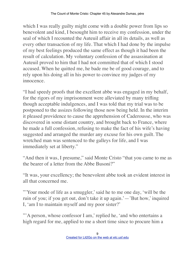which I was really guilty might come with a double power from lips so benevolent and kind, I besought him to receive my confession, under the seal of which I recounted the Auteuil affair in all its details, as well as every other transaction of my life. That which I had done by the impulse of my best feelings produced the same effect as though it had been the result of calculation. My voluntary confession of the assassination at Auteuil proved to him that I had not committed that of which I stood accused. When he quitted me, he bade me be of good courage, and to rely upon his doing all in his power to convince my judges of my innocence.

"I had speedy proofs that the excellent abbe was engaged in my behalf, for the rigors of my imprisonment were alleviated by many trifling though acceptable indulgences, and I was told that my trial was to be postponed to the assizes following those now being held. In the interim it pleased providence to cause the apprehension of Caderousse, who was discovered in some distant country, and brought back to France, where he made a full confession, refusing to make the fact of his wife's having suggested and arranged the murder any excuse for his own guilt. The wretched man was sentenced to the galleys for life, and I was immediately set at liberty."

"And then it was, I presume," said Monte Cristo "that you came to me as the bearer of a letter from the Abbe Busoni?"

"It was, your excellency; the benevolent abbe took an evident interest in all that concerned me.

"'Your mode of life as a smuggler,' said he to me one day, 'will be the ruin of you; if you get out, don't take it up again.'—'But how,' inquired I, 'am I to maintain myself and my poor sister?'

"'A person, whose confessor I am,' replied he, 'and who entertains a high regard for me, applied to me a short time since to procure him a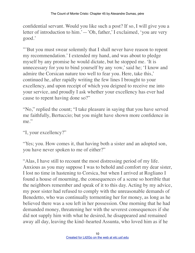confidential servant. Would you like such a post? If so, I will give you a letter of introduction to him.'—'Oh, father,' I exclaimed, 'you are very good.'

"'But you must swear solemnly that I shall never have reason to repent my recommendation.' I extended my hand, and was about to pledge myself by any promise he would dictate, but he stopped me. 'It is unnecessary for you to bind yourself by any vow,' said he; 'I know and admire the Corsican nature too well to fear you. Here, take this,' continued he, after rapidly writing the few lines I brought to your excellency, and upon receipt of which you deigned to receive me into your service, and proudly I ask whether your excellency has ever had cause to repent having done so?"

"No," replied the count; "I take pleasure in saying that you have served me faithfully, Bertuccio; but you might have shown more confidence in me."

"I, your excellency?"

"Yes; you. How comes it, that having both a sister and an adopted son, you have never spoken to me of either?"

"Alas, I have still to recount the most distressing period of my life. Anxious as you may suppose I was to behold and comfort my dear sister, I lost no time in hastening to Corsica, but when I arrived at Rogliano I found a house of mourning, the consequences of a scene so horrible that the neighbors remember and speak of it to this day. Acting by my advice, my poor sister had refused to comply with the unreasonable demands of Benedetto, who was continually tormenting her for money, as long as he believed there was a sou left in her possession. One morning that he had demanded money, threatening her with the severest consequences if she did not supply him with what he desired, he disappeared and remained away all day, leaving the kind–hearted Assunta, who loved him as if he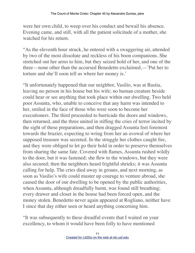were her own child, to weep over his conduct and bewail his absence. Evening came, and still, with all the patient solicitude of a mother, she watched for his return.

"As the eleventh hour struck, he entered with a swaggering air, attended by two of the most dissolute and reckless of his boon companions. She stretched out her arms to him, but they seized hold of her, and one of the three—none other than the accursed Benedetto exclaimed,—'Put her to torture and she'll soon tell us where her money is.'

"It unfortunately happened that our neighbor, Vasilio, was at Bastia, leaving no person in his house but his wife; no human creature beside could hear or see anything that took place within our dwelling. Two held poor Assunta, who, unable to conceive that any harm was intended to her, smiled in the face of those who were soon to become her executioners. The third proceeded to barricade the doors and windows, then returned, and the three united in stifling the cries of terror incited by the sight of these preparations, and then dragged Assunta feet foremost towards the brazier, expecting to wring from her an avowal of where her supposed treasure was secreted. In the struggle her clothes caught fire, and they were obliged to let go their hold in order to preserve themselves from sharing the same fate. Covered with flames, Assunta rushed wildly to the door, but it was fastened; she flew to the windows, but they were also secured; then the neighbors heard frightful shrieks; it was Assunta calling for help. The cries died away in groans, and next morning, as soon as Vasilio's wife could muster up courage to venture abroad, she caused the door of our dwelling to be opened by the public authorities, when Assunta, although dreadfully burnt, was found still breathing; every drawer and closet in the house had been forced open, and the money stolen. Benedetto never again appeared at Rogliano, neither have I since that day either seen or heard anything concerning him.

"It was subsequently to these dreadful events that I waited on your excellency, to whom it would have been folly to have mentioned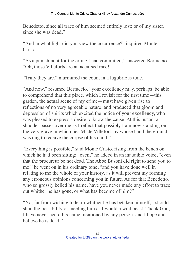Benedetto, since all trace of him seemed entirely lost; or of my sister, since she was dead."

"And in what light did you view the occurrence?" inquired Monte Cristo.

"As a punishment for the crime I had committed," answered Bertuccio. "Oh, those Villeforts are an accursed race!"

"Truly they are," murmured the count in a lugubrious tone.

"And now," resumed Bertuccio, "your excellency may, perhaps, be able to comprehend that this place, which I revisit for the first time—this garden, the actual scene of my crime—must have given rise to reflections of no very agreeable nature, and produced that gloom and depression of spirits which excited the notice of your excellency, who was pleased to express a desire to know the cause. At this instant a shudder passes over me as I reflect that possibly I am now standing on the very grave in which lies M. de Villefort, by whose hand the ground was dug to receive the corpse of his child."

"Everything is possible," said Monte Cristo, rising from the bench on which he had been sitting; "even," he added in an inaudible voice, "even" that the procureur be not dead. The Abbe Busoni did right to send you to me," he went on in his ordinary tone, "and you have done well in relating to me the whole of your history, as it will prevent my forming any erroneous opinions concerning you in future. As for that Benedetto, who so grossly belied his name, have you never made any effort to trace out whither he has gone, or what has become of him?"

"No; far from wishing to learn whither he has betaken himself, I should shun the possibility of meeting him as I would a wild beast. Thank God, I have never heard his name mentioned by any person, and I hope and believe he is dead."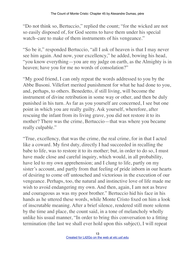"Do not think so, Bertuccio," replied the count; "for the wicked are not so easily disposed of, for God seems to have them under his special watch–care to make of them instruments of his vengeance."

"So be it," responded Bertuccio, "all I ask of heaven is that I may never see him again. And now, your excellency," he added, bowing his head, "you know everything—you are my judge on earth, as the Almighty is in heaven; have you for me no words of consolation?"

"My good friend, I can only repeat the words addressed to you by the Abbe Busoni. Villefort merited punishment for what he had done to you, and, perhaps, to others. Benedetto, if still living, will become the instrument of divine retribution in some way or other, and then be duly punished in his turn. As far as you yourself are concerned, I see but one point in which you are really guilty. Ask yourself, wherefore, after rescuing the infant from its living grave, you did not restore it to its mother? There was the crime, Bertuccio—that was where you became really culpable."

"True, excellency, that was the crime, the real crime, for in that I acted like a coward. My first duty, directly I had succeeded in recalling the babe to life, was to restore it to its mother; but, in order to do so, I must have made close and careful inquiry, which would, in all probability, have led to my own apprehension; and I clung to life, partly on my sister's account, and partly from that feeling of pride inborn in our hearts of desiring to come off untouched and victorious in the execution of our vengeance. Perhaps, too, the natural and instinctive love of life made me wish to avoid endangering my own. And then, again, I am not as brave and courageous as was my poor brother." Bertuccio hid his face in his hands as he uttered these words, while Monte Cristo fixed on him a look of inscrutable meaning. After a brief silence, rendered still more solemn by the time and place, the count said, in a tone of melancholy wholly unlike his usual manner, "In order to bring this conversation to a fitting termination (the last we shall ever hold upon this subject), I will repeat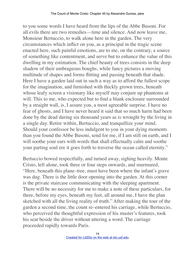to you some words I have heard from the lips of the Abbe Busoni. For all evils there are two remedies—time and silence. And now leave me, Monsieur Bertuccio, to walk alone here in the garden. The very circumstances which inflict on you, as a principal in the tragic scene enacted here, such painful emotions, are to me, on the contrary, a source of something like contentment, and serve but to enhance the value of this dwelling in my estimation. The chief beauty of trees consists in the deep shadow of their umbrageous boughs, while fancy pictures a moving multitude of shapes and forms flitting and passing beneath that shade. Here I have a garden laid out in such a way as to afford the fullest scope for the imagination, and furnished with thickly grown trees, beneath whose leafy screen a visionary like myself may conjure up phantoms at will. This to me, who expected but to find a blank enclosure surrounded by a straight wall, is, I assure you, a most agreeable surprise. I have no fear of ghosts, and I have never heard it said that so much harm had been done by the dead during six thousand years as is wrought by the living in a single day. Retire within, Bertuccio, and tranquillize your mind. Should your confessor be less indulgent to you in your dying moments than you found the Abbe Busoni, send for me, if I am still on earth, and I will soothe your ears with words that shall effectually calm and soothe your parting soul ere it goes forth to traverse the ocean called eternity."

Bertuccio bowed respectfully, and turned away, sighing heavily. Monte Cristo, left alone, took three or four steps onwards, and murmured, "Here, beneath this plane–tree, must have been where the infant's grave was dug. There is the little door opening into the garden. At this corner is the private staircase communicating with the sleeping apartment. There will be no necessity for me to make a note of these particulars, for there, before my eyes, beneath my feet, all around me, I have the plan sketched with all the living reality of truth." After making the tour of the garden a second time, the count re–entered his carriage, while Bertuccio, who perceived the thoughtful expression of his master's features, took his seat beside the driver without uttering a word. The carriage proceeded rapidly towards Paris.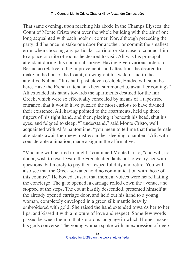That same evening, upon reaching his abode in the Champs Elysees, the Count of Monte Cristo went over the whole building with the air of one long acquainted with each nook or corner. Nor, although preceding the party, did he once mistake one door for another, or commit the smallest error when choosing any particular corridor or staircase to conduct him to a place or suite of rooms he desired to visit. Ali was his principal attendant during this nocturnal survey. Having given various orders to Bertuccio relative to the improvements and alterations he desired to make in the house, the Count, drawing out his watch, said to the attentive Nubian, "It is half–past eleven o'clock; Haidee will soon be here. Have the French attendants been summoned to await her coming?" Ali extended his hands towards the apartments destined for the fair Greek, which were so effectually concealed by means of a tapestried entrance, that it would have puzzled the most curious to have divined their existence. Ali, having pointed to the apartments, held up three fingers of his right hand, and then, placing it beneath his head, shut his eyes, and feigned to sleep. "I understand," said Monte Cristo, well acquainted with Ali's pantomime; "you mean to tell me that three female attendants await their new mistress in her sleeping–chamber." Ali, with considerable animation, made a sign in the affirmative.

"Madame will be tired to–night," continued Monte Cristo, "and will, no doubt, wish to rest. Desire the French attendants not to weary her with questions, but merely to pay their respectful duty and retire. You will also see that the Greek servants hold no communication with those of this country." He bowed. Just at that moment voices were heard hailing the concierge. The gate opened, a carriage rolled down the avenue, and stopped at the steps. The count hastily descended, presented himself at the already opened carriage door, and held out his hand to a young woman, completely enveloped in a green silk mantle heavily embroidered with gold. She raised the hand extended towards her to her lips, and kissed it with a mixture of love and respect. Some few words passed between them in that sonorous language in which Homer makes his gods converse. The young woman spoke with an expression of deep